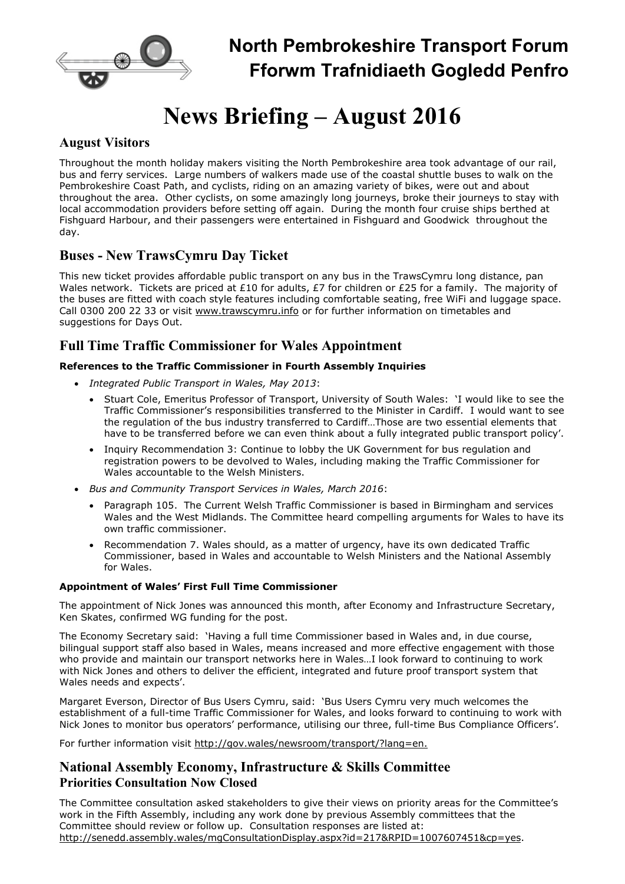

## North Pembrokeshire Transport Forum Fforwm Trafnidiaeth Gogledd Penfro

# News Briefing – August 2016

## August Visitors

Throughout the month holiday makers visiting the North Pembrokeshire area took advantage of our rail, bus and ferry services. Large numbers of walkers made use of the coastal shuttle buses to walk on the Pembrokeshire Coast Path, and cyclists, riding on an amazing variety of bikes, were out and about throughout the area. Other cyclists, on some amazingly long journeys, broke their journeys to stay with local accommodation providers before setting off again. During the month four cruise ships berthed at Fishguard Harbour, and their passengers were entertained in Fishguard and Goodwick throughout the day.

## Buses - New TrawsCymru Day Ticket

This new ticket provides affordable public transport on any bus in the TrawsCymru long distance, pan Wales network. Tickets are priced at £10 for adults, £7 for children or £25 for a family. The majority of the buses are fitted with coach style features including comfortable seating, free WiFi and luggage space. Call 0300 200 22 33 or visit www.trawscymru.info or for further information on timetables and suggestions for Days Out.

## Full Time Traffic Commissioner for Wales Appointment

## References to the Traffic Commissioner in Fourth Assembly Inquiries

- Integrated Public Transport in Wales, May 2013:
	- Stuart Cole, Emeritus Professor of Transport, University of South Wales: 'I would like to see the Traffic Commissioner's responsibilities transferred to the Minister in Cardiff. I would want to see the regulation of the bus industry transferred to Cardiff…Those are two essential elements that have to be transferred before we can even think about a fully integrated public transport policy'.
	- Inquiry Recommendation 3: Continue to lobby the UK Government for bus regulation and registration powers to be devolved to Wales, including making the Traffic Commissioner for Wales accountable to the Welsh Ministers.
- Bus and Community Transport Services in Wales, March 2016:
	- Paragraph 105. The Current Welsh Traffic Commissioner is based in Birmingham and services Wales and the West Midlands. The Committee heard compelling arguments for Wales to have its own traffic commissioner.
	- Recommendation 7. Wales should, as a matter of urgency, have its own dedicated Traffic Commissioner, based in Wales and accountable to Welsh Ministers and the National Assembly for Wales.

## Appointment of Wales' First Full Time Commissioner

The appointment of Nick Jones was announced this month, after Economy and Infrastructure Secretary, Ken Skates, confirmed WG funding for the post.

The Economy Secretary said: 'Having a full time Commissioner based in Wales and, in due course, bilingual support staff also based in Wales, means increased and more effective engagement with those who provide and maintain our transport networks here in Wales…I look forward to continuing to work with Nick Jones and others to deliver the efficient, integrated and future proof transport system that Wales needs and expects'.

Margaret Everson, Director of Bus Users Cymru, said: 'Bus Users Cymru very much welcomes the establishment of a full-time Traffic Commissioner for Wales, and looks forward to continuing to work with Nick Jones to monitor bus operators' performance, utilising our three, full-time Bus Compliance Officers'.

For further information visit http://gov.wales/newsroom/transport/?lang=en.

## National Assembly Economy, Infrastructure & Skills Committee Priorities Consultation Now Closed

The Committee consultation asked stakeholders to give their views on priority areas for the Committee's work in the Fifth Assembly, including any work done by previous Assembly committees that the Committee should review or follow up. Consultation responses are listed at: http://senedd.assembly.wales/mgConsultationDisplay.aspx?id=217&RPID=1007607451&cp=yes.